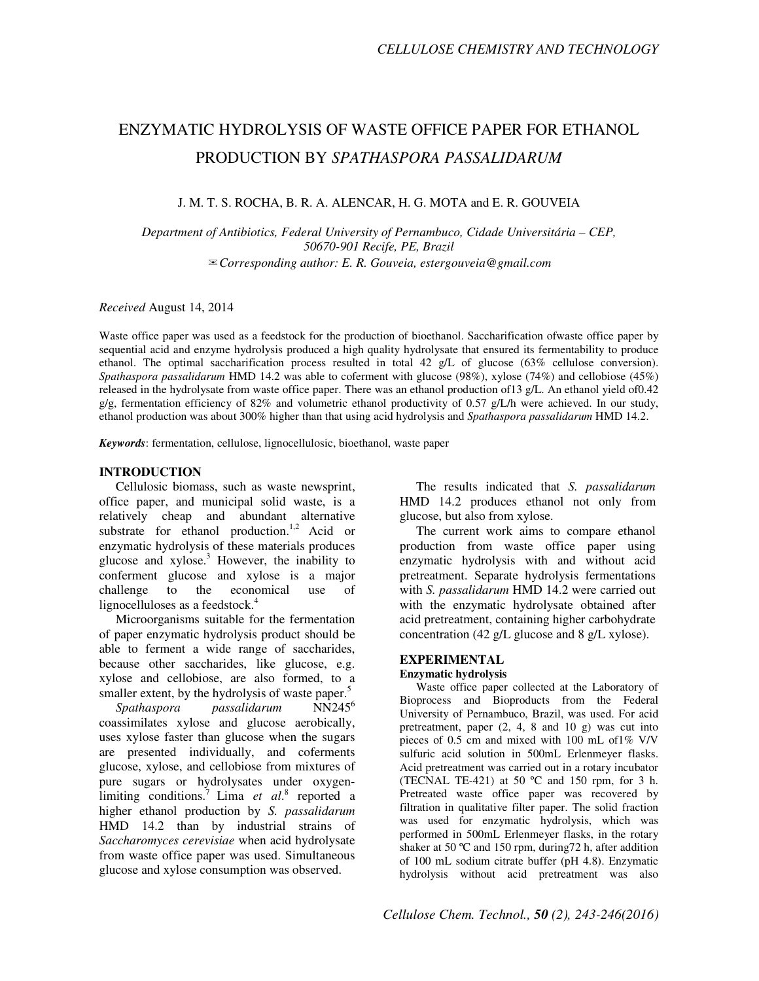# ENZYMATIC HYDROLYSIS OF WASTE OFFICE PAPER FOR ETHANOL PRODUCTION BY *SPATHASPORA PASSALIDARUM*

J. M. T. S. ROCHA, B. R. A. ALENCAR, H. G. MOTA and E. R. GOUVEIA

*Department of Antibiotics, Federal University of Pernambuco, Cidade Universitária – CEP, 50670-901 Recife, PE, Brazil*  ✉*Corresponding author: E. R. Gouveia, estergouveia@gmail.com* 

*Received* August 14, 2014

Waste office paper was used as a feedstock for the production of bioethanol. Saccharification ofwaste office paper by sequential acid and enzyme hydrolysis produced a high quality hydrolysate that ensured its fermentability to produce ethanol. The optimal saccharification process resulted in total 42 g/L of glucose (63% cellulose conversion). *Spathaspora passalidarum* HMD 14.2 was able to coferment with glucose (98%), xylose (74%) and cellobiose (45%) released in the hydrolysate from waste office paper. There was an ethanol production of13 g/L. An ethanol yield of0.42 g/g, fermentation efficiency of 82% and volumetric ethanol productivity of 0.57 g/L/h were achieved. In our study, ethanol production was about 300% higher than that using acid hydrolysis and *Spathaspora passalidarum* HMD 14.2.

*Keywords*: fermentation, cellulose, lignocellulosic, bioethanol, waste paper

#### **INTRODUCTION**

Cellulosic biomass, such as waste newsprint, office paper, and municipal solid waste, is a relatively cheap and abundant alternative substrate for ethanol production.<sup>1,2</sup> Acid or enzymatic hydrolysis of these materials produces glucose and  $xylose<sup>3</sup>$  However, the inability to conferment glucose and xylose is a major challenge to the economical use of lignocelluloses as a feedstock.<sup>4</sup>

Microorganisms suitable for the fermentation of paper enzymatic hydrolysis product should be able to ferment a wide range of saccharides, because other saccharides, like glucose, e.g. xylose and cellobiose, are also formed, to a smaller extent, by the hydrolysis of waste paper.<sup>5</sup><br>Spathaspora passalidarum  $NN245^6$ 

*Spathaspora passalidarum* coassimilates xylose and glucose aerobically, uses xylose faster than glucose when the sugars are presented individually, and coferments glucose, xylose, and cellobiose from mixtures of pure sugars or hydrolysates under oxygenlimiting conditions.<sup>7</sup> Lima *et al.*<sup>8</sup> reported a higher ethanol production by *S. passalidarum* HMD 14.2 than by industrial strains of *Saccharomyces cerevisiae* when acid hydrolysate from waste office paper was used. Simultaneous glucose and xylose consumption was observed.

The results indicated that *S. passalidarum* HMD 14.2 produces ethanol not only from glucose, but also from xylose.

The current work aims to compare ethanol production from waste office paper using enzymatic hydrolysis with and without acid pretreatment. Separate hydrolysis fermentations with *S. passalidarum* HMD 14.2 were carried out with the enzymatic hydrolysate obtained after acid pretreatment, containing higher carbohydrate concentration (42 g/L glucose and 8 g/L xylose).

#### **EXPERIMENTAL**

#### **Enzymatic hydrolysis**

Waste office paper collected at the Laboratory of Bioprocess and Bioproducts from the Federal University of Pernambuco, Brazil, was used. For acid pretreatment, paper (2, 4, 8 and 10 g) was cut into pieces of 0.5 cm and mixed with 100 mL of1% V/V sulfuric acid solution in 500mL Erlenmeyer flasks. Acid pretreatment was carried out in a rotary incubator (TECNAL TE-421) at 50  $^{\circ}$ C and 150 rpm, for 3 h. Pretreated waste office paper was recovered by filtration in qualitative filter paper. The solid fraction was used for enzymatic hydrolysis, which was performed in 500mL Erlenmeyer flasks, in the rotary shaker at 50 °C and 150 rpm, during 72 h, after addition of 100 mL sodium citrate buffer (pH 4.8). Enzymatic hydrolysis without acid pretreatment was also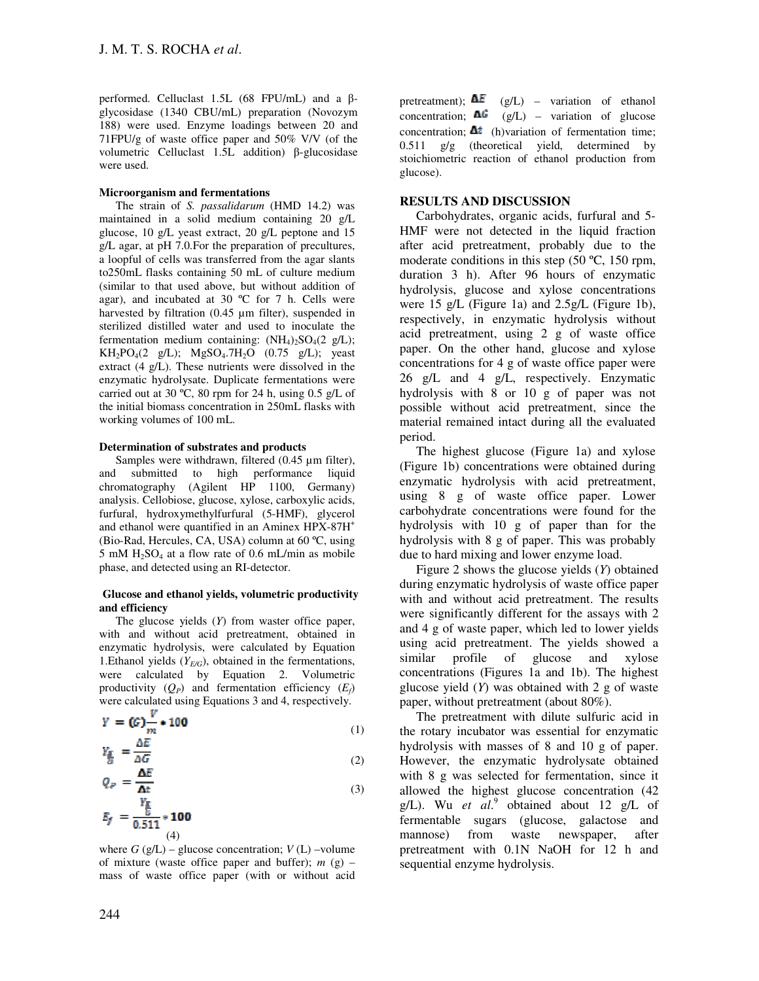performed. Celluclast 1.5L (68 FPU/mL) and a βglycosidase (1340 CBU/mL) preparation (Novozym 188) were used. Enzyme loadings between 20 and 71FPU/g of waste office paper and 50% V/V (of the volumetric Celluclast 1.5L addition) β-glucosidase were used.

#### **Microorganism and fermentations**

The strain of *S. passalidarum* (HMD 14.2) was maintained in a solid medium containing 20 g/L glucose, 10 g/L yeast extract, 20 g/L peptone and 15 g/L agar, at pH 7.0.For the preparation of precultures, a loopful of cells was transferred from the agar slants to250mL flasks containing 50 mL of culture medium (similar to that used above, but without addition of agar), and incubated at 30 ºC for 7 h. Cells were harvested by filtration (0.45 µm filter), suspended in sterilized distilled water and used to inoculate the fermentation medium containing:  $(NH_4)_2SO_4(2 \text{ g/L});$  $KH_2PO_4(2 g/L); MgSO_4.7H_2O (0.75 g/L); year$ extract (4 g/L). These nutrients were dissolved in the enzymatic hydrolysate. Duplicate fermentations were carried out at 30 ºC, 80 rpm for 24 h, using 0.5 g/L of the initial biomass concentration in 250mL flasks with working volumes of 100 mL.

#### **Determination of substrates and products**

Samples were withdrawn, filtered (0.45 µm filter), and submitted to high performance liquid chromatography (Agilent HP 1100, Germany) analysis. Cellobiose, glucose, xylose, carboxylic acids, furfural, hydroxymethylfurfural (5-HMF), glycerol and ethanol were quantified in an Aminex HPX-87H<sup>+</sup> (Bio-Rad, Hercules, CA, USA) column at 60 ºC, using  $5 \text{ mM H}_2$ SO<sub>4</sub> at a flow rate of 0.6 mL/min as mobile phase, and detected using an RI-detector.

#### **Glucose and ethanol yields, volumetric productivity and efficiency**

The glucose yields (*Y*) from waster office paper, with and without acid pretreatment, obtained in enzymatic hydrolysis, were calculated by Equation 1.Ethanol yields (*YE/G*), obtained in the fermentations, were calculated by Equation 2. Volumetric productivity  $(Q_P)$  and fermentation efficiency  $(E_f)$ were calculated using Equations 3 and 4, respectively.

$$
Y = (G) \frac{v}{m} * 100
$$
  

$$
Y_r = \frac{\Delta E}{m}
$$
 (1)

$$
\frac{\epsilon_E}{G} = \frac{\Delta G}{\Delta E} \tag{2}
$$

$$
Q_P = \frac{Y_E}{\frac{Y_E}{G}} \tag{3}
$$
\n
$$
E_f = \frac{Y_E}{0.511} \times 100
$$

 (4) where  $G$  (g/L) – glucose concentration;  $V$  (L) –volume of mixture (waste office paper and buffer); *m* (g) – mass of waste office paper (with or without acid pretreatment);  $\Delta E$  (g/L) – variation of ethanol concentration;  $\Delta G$  (g/L) – variation of glucose concentration:  $\mathbf{\Delta}t$  (h)variation of fermentation time:  $0.511$  g/g (theoretical yield, determined by stoichiometric reaction of ethanol production from glucose).

## **RESULTS AND DISCUSSION**

Carbohydrates, organic acids, furfural and 5- HMF were not detected in the liquid fraction after acid pretreatment, probably due to the moderate conditions in this step (50 °C, 150 rpm, duration 3 h). After 96 hours of enzymatic hydrolysis, glucose and xylose concentrations were 15 g/L (Figure 1a) and 2.5g/L (Figure 1b), respectively, in enzymatic hydrolysis without acid pretreatment, using 2 g of waste office paper. On the other hand, glucose and xylose concentrations for 4 g of waste office paper were 26 g/L and 4 g/L, respectively. Enzymatic hydrolysis with 8 or 10 g of paper was not possible without acid pretreatment, since the material remained intact during all the evaluated period.

The highest glucose (Figure 1a) and xylose (Figure 1b) concentrations were obtained during enzymatic hydrolysis with acid pretreatment, using 8 g of waste office paper. Lower carbohydrate concentrations were found for the hydrolysis with 10 g of paper than for the hydrolysis with 8 g of paper. This was probably due to hard mixing and lower enzyme load.

Figure 2 shows the glucose yields (*Y*) obtained during enzymatic hydrolysis of waste office paper with and without acid pretreatment. The results were significantly different for the assays with 2 and 4 g of waste paper, which led to lower yields using acid pretreatment. The yields showed a similar profile of glucose and xylose concentrations (Figures 1a and 1b). The highest glucose yield (*Y*) was obtained with 2 g of waste paper, without pretreatment (about 80%).

The pretreatment with dilute sulfuric acid in the rotary incubator was essential for enzymatic hydrolysis with masses of 8 and 10 g of paper. However, the enzymatic hydrolysate obtained with 8 g was selected for fermentation, since it allowed the highest glucose concentration (42 g/L). Wu *et al.*<sup>9</sup> obtained about 12 g/L of fermentable sugars (glucose, galactose and mannose) from waste newspaper, after pretreatment with 0.1N NaOH for 12 h and sequential enzyme hydrolysis.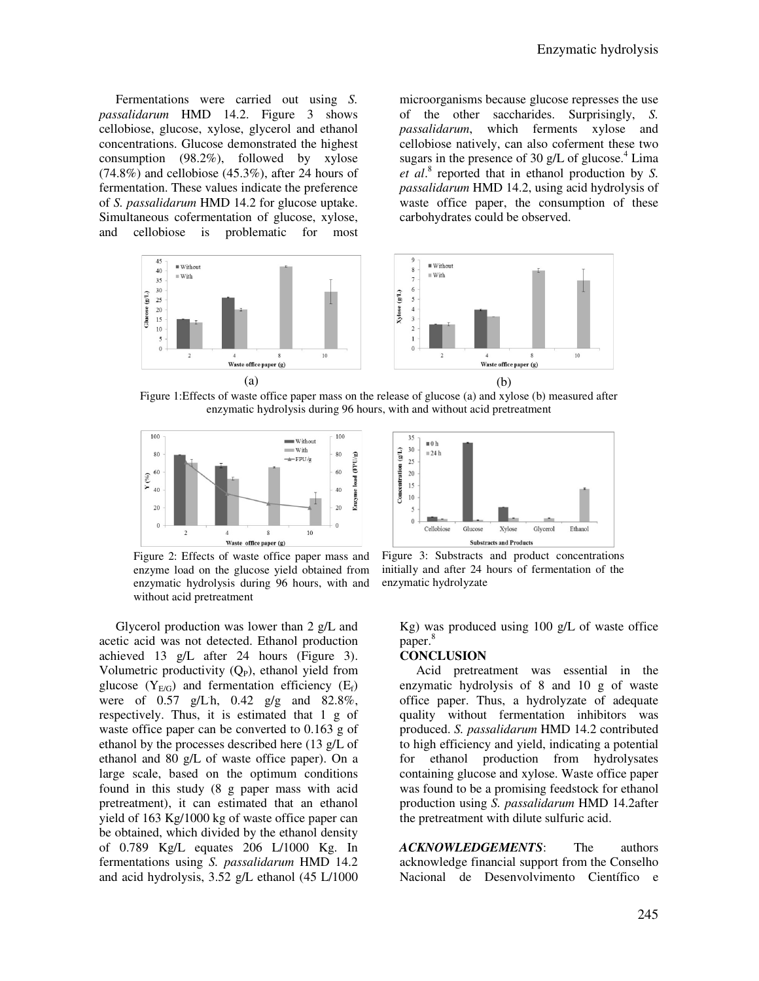Fermentations were carried out using *S. passalidarum* HMD 14.2. Figure 3 shows cellobiose, glucose, xylose, glycerol and ethanol concentrations. Glucose demonstrated the highest consumption (98.2%), followed by xylose  $(74.8\%)$  and cellobiose  $(45.3\%)$ , after 24 hours of fermentation. These values indicate the preference of *S. passalidarum* HMD 14.2 for glucose uptake. Simultaneous cofermentation of glucose, xylose, and cellobiose is problematic for most

Glucose  $(g/L)$ 

microorganisms because glucose represses the use of the other saccharides. Surprisingly, *S. passalidarum*, which ferments xylose and cellobiose natively, can also coferment these two sugars in the presence of 30 g/L of glucose. $4$  Lima *et al*. 8 reported that in ethanol production by *S. passalidarum* HMD 14.2, using acid hydrolysis of waste office paper, the consumption of these carbohydrates could be observed.



Figure 1:Effects of waste office paper mass on the release of glucose (a) and xylose (b) measured after enzymatic hydrolysis during 96 hours, with and without acid pretreatment



Figure 2: Effects of waste office paper mass and enzyme load on the glucose yield obtained from enzymatic hydrolysis during 96 hours, with and without acid pretreatment

Glycerol production was lower than 2 g/L and acetic acid was not detected. Ethanol production achieved 13 g/L after 24 hours (Figure 3). Volumetric productivity  $(Q_P)$ , ethanol yield from glucose  $(Y_{E/G})$  and fermentation efficiency  $(E_f)$ were of 0.57 g/L h, 0.42 g/g and 82.8%, respectively. Thus, it is estimated that 1 g of waste office paper can be converted to 0.163 g of ethanol by the processes described here (13 g/L of ethanol and 80 g/L of waste office paper). On a large scale, based on the optimum conditions found in this study (8 g paper mass with acid pretreatment), it can estimated that an ethanol yield of 163 Kg/1000 kg of waste office paper can be obtained, which divided by the ethanol density of 0.789 Kg/L equates 206 L/1000 Kg. In fermentations using *S. passalidarum* HMD 14.2 and acid hydrolysis, 3.52 g/L ethanol (45 L/1000



Figure 3: Substracts and product concentrations initially and after 24 hours of fermentation of the enzymatic hydrolyzate

Kg) was produced using 100 g/L of waste office paper. 8

### **CONCLUSION**

Acid pretreatment was essential in the enzymatic hydrolysis of 8 and 10 g of waste office paper. Thus, a hydrolyzate of adequate quality without fermentation inhibitors was produced. *S. passalidarum* HMD 14.2 contributed to high efficiency and yield, indicating a potential for ethanol production from hydrolysates containing glucose and xylose. Waste office paper was found to be a promising feedstock for ethanol production using *S. passalidarum* HMD 14.2after the pretreatment with dilute sulfuric acid.

*ACKNOWLEDGEMENTS*: The authors acknowledge financial support from the Conselho Nacional de Desenvolvimento Científico e